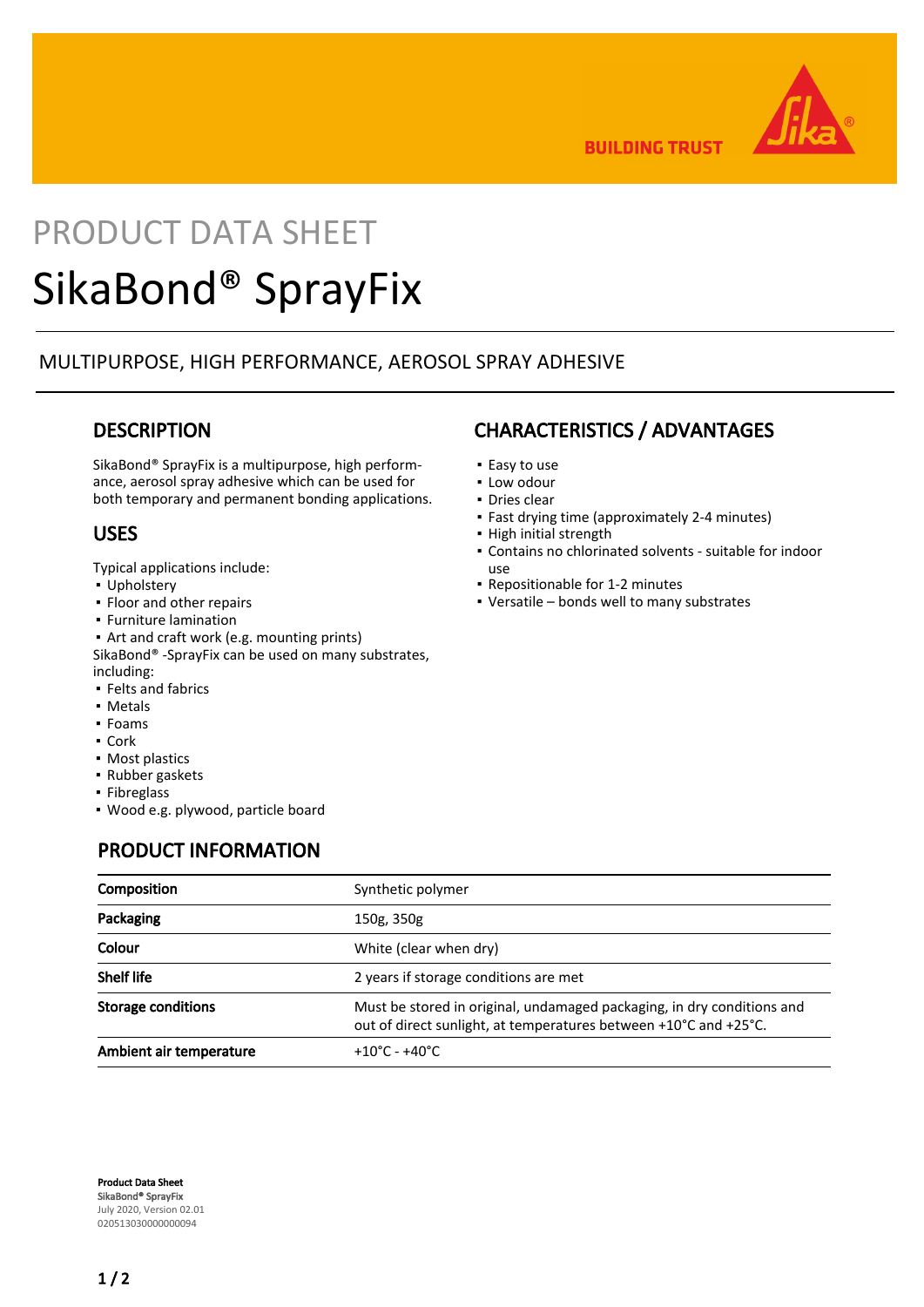

**BUILDING TRUST** 

# PRODUCT DATA SHEET SikaBond® SprayFix

## MULTIPURPOSE, HIGH PERFORMANCE, AEROSOL SPRAY ADHESIVE

## **DESCRIPTION**

SikaBond® SprayFix is a multipurpose, high performance, aerosol spray adhesive which can be used for both temporary and permanent bonding applications.

## USES

Typical applications include:

- Upholstery
- Floor and other repairs
- Furniture lamination
- Art and craft work (e.g. mounting prints) SikaBond® -SprayFix can be used on many substrates, including:
- **Felts and fabrics**
- Metals
- Foams
- Cork
- Most plastics
- Rubber gaskets
- Fibreglass
- Wood e.g. plywood, particle board

## PRODUCT INFORMATION

## CHARACTERISTICS / ADVANTAGES

- Easy to use
- Low odour
- Dries clear
- Fast drying time (approximately 2-4 minutes)
- **·** High initial strength
- Contains no chlorinated solvents suitable for indoor use
- Repositionable for 1-2 minutes
- Versatile bonds well to many substrates

| Composition               | Synthetic polymer                                                                                                                          |
|---------------------------|--------------------------------------------------------------------------------------------------------------------------------------------|
| Packaging                 | 150g, 350g                                                                                                                                 |
| Colour                    | White (clear when dry)                                                                                                                     |
| Shelf life                | 2 years if storage conditions are met                                                                                                      |
| <b>Storage conditions</b> | Must be stored in original, undamaged packaging, in dry conditions and<br>out of direct sunlight, at temperatures between +10°C and +25°C. |
| Ambient air temperature   | $+10^{\circ}$ C - $+40^{\circ}$ C                                                                                                          |

Product Data Sheet SikaBond® SprayFix July 2020, Version 02.01 020513030000000094